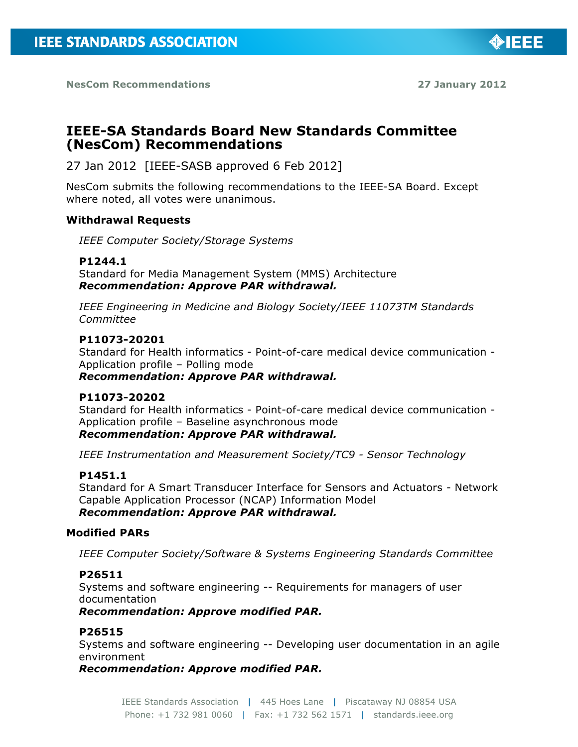

**NesCom Recommendations 27 January 2012**

# **IEEE-SA Standards Board New Standards Committee (NesCom) Recommendations**

27 Jan 2012 [IEEE-SASB approved 6 Feb 2012]

NesCom submits the following recommendations to the IEEE-SA Board. Except where noted, all votes were unanimous.

## **Withdrawal Requests**

*IEEE Computer Society/Storage Systems*

### **P1244.1**

Standard for Media Management System (MMS) Architecture *Recommendation: Approve PAR withdrawal.*

*IEEE Engineering in Medicine and Biology Society/IEEE 11073TM Standards Committee*

## **P11073-20201**

Standard for Health informatics - Point-of-care medical device communication - Application profile – Polling mode *Recommendation: Approve PAR withdrawal.*

## **P11073-20202**

Standard for Health informatics - Point-of-care medical device communication - Application profile – Baseline asynchronous mode *Recommendation: Approve PAR withdrawal.*

*IEEE Instrumentation and Measurement Society/TC9 - Sensor Technology*

## **P1451.1**

Standard for A Smart Transducer Interface for Sensors and Actuators - Network Capable Application Processor (NCAP) Information Model *Recommendation: Approve PAR withdrawal.*

## **Modified PARs**

*IEEE Computer Society/Software & Systems Engineering Standards Committee*

#### **P26511**

Systems and software engineering -- Requirements for managers of user documentation

*Recommendation: Approve modified PAR.*

## **P26515**

Systems and software engineering -- Developing user documentation in an agile environment

*Recommendation: Approve modified PAR.*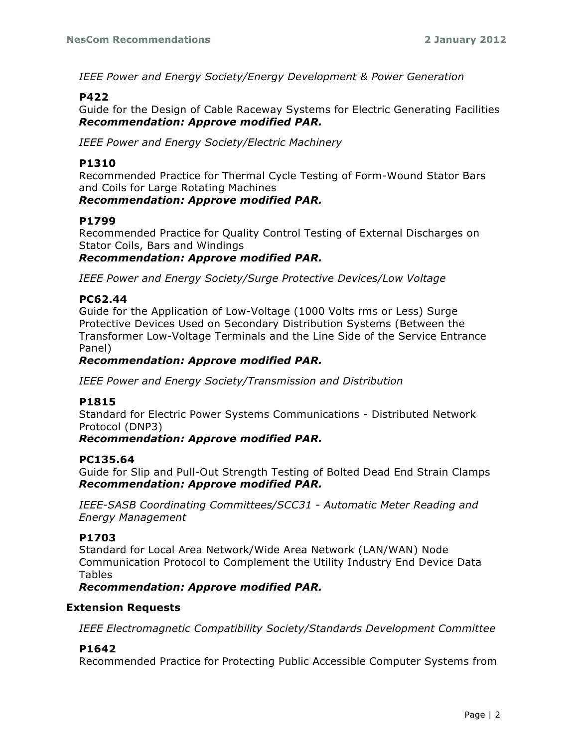*IEEE Power and Energy Society/Energy Development & Power Generation*

## **P422**

Guide for the Design of Cable Raceway Systems for Electric Generating Facilities *Recommendation: Approve modified PAR.*

*IEEE Power and Energy Society/Electric Machinery*

## **P1310**

Recommended Practice for Thermal Cycle Testing of Form-Wound Stator Bars and Coils for Large Rotating Machines

### *Recommendation: Approve modified PAR.*

#### **P1799**

Recommended Practice for Quality Control Testing of External Discharges on Stator Coils, Bars and Windings

### *Recommendation: Approve modified PAR.*

*IEEE Power and Energy Society/Surge Protective Devices/Low Voltage*

### **PC62.44**

Guide for the Application of Low-Voltage (1000 Volts rms or Less) Surge Protective Devices Used on Secondary Distribution Systems (Between the Transformer Low-Voltage Terminals and the Line Side of the Service Entrance Panel)

### *Recommendation: Approve modified PAR.*

*IEEE Power and Energy Society/Transmission and Distribution*

#### **P1815**

Standard for Electric Power Systems Communications - Distributed Network Protocol (DNP3)

#### *Recommendation: Approve modified PAR.*

#### **PC135.64**

Guide for Slip and Pull-Out Strength Testing of Bolted Dead End Strain Clamps *Recommendation: Approve modified PAR.*

*IEEE-SASB Coordinating Committees/SCC31 - Automatic Meter Reading and Energy Management*

#### **P1703**

Standard for Local Area Network/Wide Area Network (LAN/WAN) Node Communication Protocol to Complement the Utility Industry End Device Data Tables

*Recommendation: Approve modified PAR.*

#### **Extension Requests**

*IEEE Electromagnetic Compatibility Society/Standards Development Committee*

#### **P1642**

Recommended Practice for Protecting Public Accessible Computer Systems from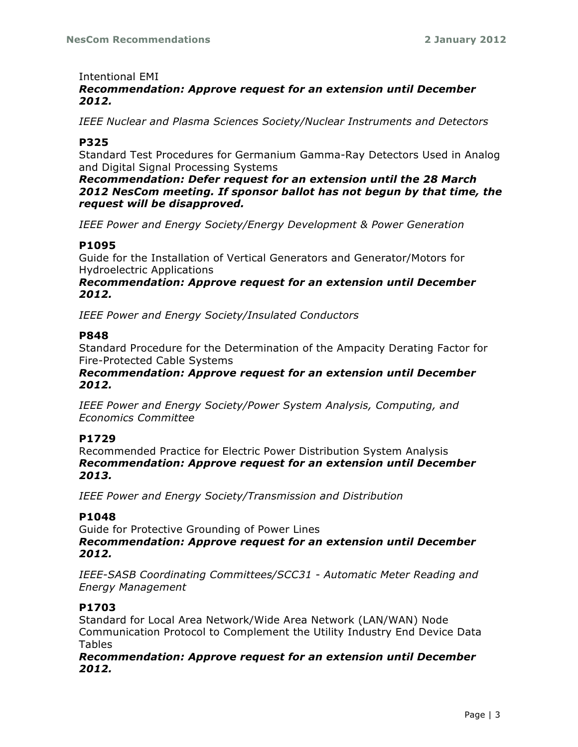### Intentional EMI

## *Recommendation: Approve request for an extension until December 2012.*

*IEEE Nuclear and Plasma Sciences Society/Nuclear Instruments and Detectors*

## **P325**

Standard Test Procedures for Germanium Gamma-Ray Detectors Used in Analog and Digital Signal Processing Systems

*Recommendation: Defer request for an extension until the 28 March 2012 NesCom meeting. If sponsor ballot has not begun by that time, the request will be disapproved.*

*IEEE Power and Energy Society/Energy Development & Power Generation*

## **P1095**

Guide for the Installation of Vertical Generators and Generator/Motors for Hydroelectric Applications

*Recommendation: Approve request for an extension until December 2012.*

*IEEE Power and Energy Society/Insulated Conductors*

### **P848**

Standard Procedure for the Determination of the Ampacity Derating Factor for Fire-Protected Cable Systems

## *Recommendation: Approve request for an extension until December 2012.*

*IEEE Power and Energy Society/Power System Analysis, Computing, and Economics Committee*

## **P1729**

Recommended Practice for Electric Power Distribution System Analysis *Recommendation: Approve request for an extension until December 2013.*

*IEEE Power and Energy Society/Transmission and Distribution*

## **P1048**

Guide for Protective Grounding of Power Lines *Recommendation: Approve request for an extension until December 2012.*

*IEEE-SASB Coordinating Committees/SCC31 - Automatic Meter Reading and Energy Management*

## **P1703**

Standard for Local Area Network/Wide Area Network (LAN/WAN) Node Communication Protocol to Complement the Utility Industry End Device Data Tables

*Recommendation: Approve request for an extension until December 2012.*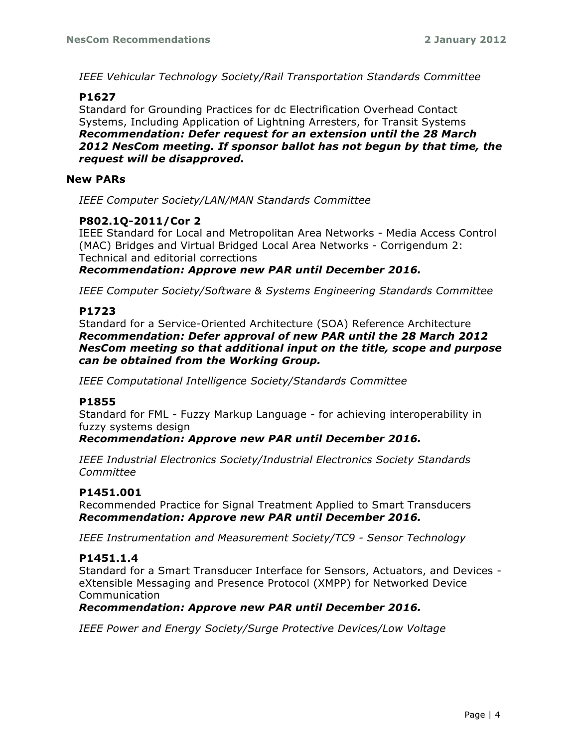*IEEE Vehicular Technology Society/Rail Transportation Standards Committee*

## **P1627**

Standard for Grounding Practices for dc Electrification Overhead Contact Systems, Including Application of Lightning Arresters, for Transit Systems *Recommendation: Defer request for an extension until the 28 March 2012 NesCom meeting. If sponsor ballot has not begun by that time, the request will be disapproved.*

### **New PARs**

*IEEE Computer Society/LAN/MAN Standards Committee*

## **P802.1Q-2011/Cor 2**

IEEE Standard for Local and Metropolitan Area Networks - Media Access Control (MAC) Bridges and Virtual Bridged Local Area Networks - Corrigendum 2: Technical and editorial corrections

*Recommendation: Approve new PAR until December 2016.*

*IEEE Computer Society/Software & Systems Engineering Standards Committee*

### **P1723**

Standard for a Service-Oriented Architecture (SOA) Reference Architecture *Recommendation: Defer approval of new PAR until the 28 March 2012 NesCom meeting so that additional input on the title, scope and purpose can be obtained from the Working Group.*

*IEEE Computational Intelligence Society/Standards Committee*

#### **P1855**

Standard for FML - Fuzzy Markup Language - for achieving interoperability in fuzzy systems design

#### *Recommendation: Approve new PAR until December 2016.*

*IEEE Industrial Electronics Society/Industrial Electronics Society Standards Committee*

## **P1451.001**

Recommended Practice for Signal Treatment Applied to Smart Transducers *Recommendation: Approve new PAR until December 2016.*

*IEEE Instrumentation and Measurement Society/TC9 - Sensor Technology*

## **P1451.1.4**

Standard for a Smart Transducer Interface for Sensors, Actuators, and Devices eXtensible Messaging and Presence Protocol (XMPP) for Networked Device Communication

#### *Recommendation: Approve new PAR until December 2016.*

*IEEE Power and Energy Society/Surge Protective Devices/Low Voltage*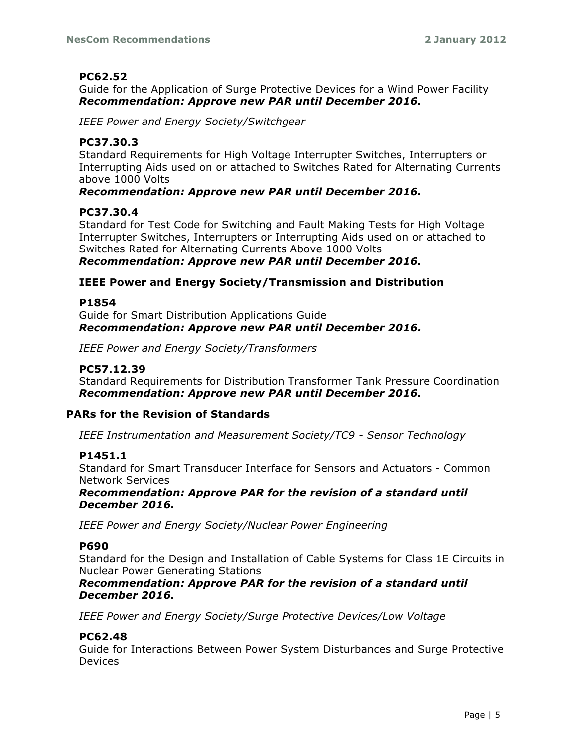## **PC62.52**

Guide for the Application of Surge Protective Devices for a Wind Power Facility *Recommendation: Approve new PAR until December 2016.*

*IEEE Power and Energy Society/Switchgear*

## **PC37.30.3**

Standard Requirements for High Voltage Interrupter Switches, Interrupters or Interrupting Aids used on or attached to Switches Rated for Alternating Currents above 1000 Volts

## *Recommendation: Approve new PAR until December 2016.*

## **PC37.30.4**

Standard for Test Code for Switching and Fault Making Tests for High Voltage Interrupter Switches, Interrupters or Interrupting Aids used on or attached to Switches Rated for Alternating Currents Above 1000 Volts

### *Recommendation: Approve new PAR until December 2016.*

## **IEEE Power and Energy Society/Transmission and Distribution**

#### **P1854**

Guide for Smart Distribution Applications Guide *Recommendation: Approve new PAR until December 2016.*

*IEEE Power and Energy Society/Transformers*

## **PC57.12.39**

Standard Requirements for Distribution Transformer Tank Pressure Coordination *Recommendation: Approve new PAR until December 2016.*

## **PARs for the Revision of Standards**

*IEEE Instrumentation and Measurement Society/TC9 - Sensor Technology*

#### **P1451.1**

Standard for Smart Transducer Interface for Sensors and Actuators - Common Network Services

*Recommendation: Approve PAR for the revision of a standard until December 2016.*

*IEEE Power and Energy Society/Nuclear Power Engineering*

## **P690**

Standard for the Design and Installation of Cable Systems for Class 1E Circuits in Nuclear Power Generating Stations

*Recommendation: Approve PAR for the revision of a standard until December 2016.*

*IEEE Power and Energy Society/Surge Protective Devices/Low Voltage*

## **PC62.48**

Guide for Interactions Between Power System Disturbances and Surge Protective Devices